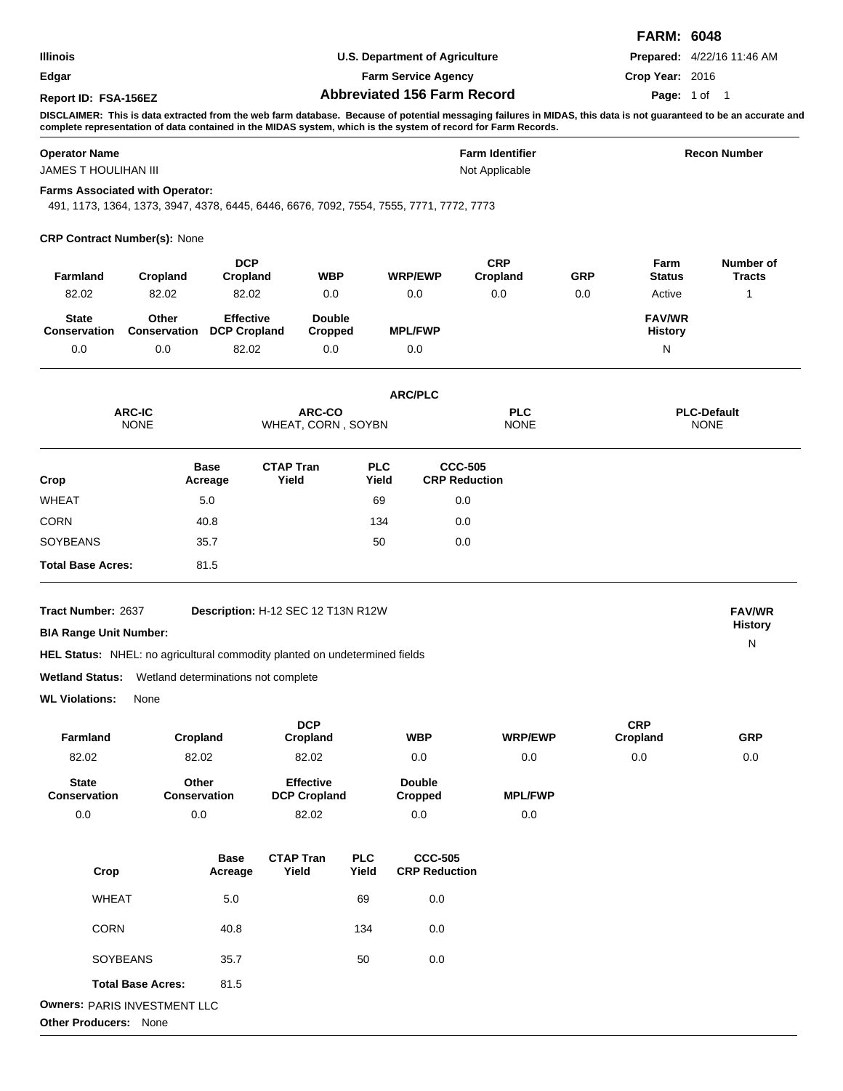|                      |                                    | <b>FARM: 6048</b>                 |
|----------------------|------------------------------------|-----------------------------------|
| Illinois             | U.S. Department of Agriculture     | <b>Prepared:</b> 4/22/16 11:46 AM |
| Edgar                | <b>Farm Service Agency</b>         | Crop Year: 2016                   |
| Report ID: FSA-156EZ | <b>Abbreviated 156 Farm Record</b> | Page: 1 of 1                      |

**DISCLAIMER: This is data extracted from the web farm database. Because of potential messaging failures in MIDAS, this data is not guaranteed to be an accurate and complete representation of data contained in the MIDAS system, which is the system of record for Farm Records.**

| <b>Operator Name</b><br>JAMES T HOULIHAN III             |                                                                                                                                   |                                         |                              |                          |                     |                                        | <b>Farm Identifier</b><br>Not Applicable | <b>Recon Number</b>             |                                   |                                   |
|----------------------------------------------------------|-----------------------------------------------------------------------------------------------------------------------------------|-----------------------------------------|------------------------------|--------------------------|---------------------|----------------------------------------|------------------------------------------|---------------------------------|-----------------------------------|-----------------------------------|
|                                                          | <b>Farms Associated with Operator:</b><br>491, 1173, 1364, 1373, 3947, 4378, 6445, 6446, 6676, 7092, 7554, 7555, 7771, 7772, 7773 |                                         |                              |                          |                     |                                        |                                          |                                 |                                   |                                   |
|                                                          | <b>CRP Contract Number(s): None</b>                                                                                               |                                         |                              |                          |                     |                                        |                                          |                                 |                                   |                                   |
| Farmland                                                 | Cropland                                                                                                                          |                                         | <b>DCP</b><br>Cropland       |                          |                     | <b>WRP/EWP</b>                         | <b>CRP</b><br>Cropland                   | <b>GRP</b>                      | Farm<br><b>Status</b>             | <b>Number of</b><br><b>Tracts</b> |
| 82.02                                                    | 82.02                                                                                                                             |                                         | 82.02                        | 0.0                      |                     | 0.0                                    | 0.0                                      | 0.0                             | Active                            | 1                                 |
| <b>State</b><br><b>Conservation</b>                      | Other<br>Conservation                                                                                                             | <b>Effective</b><br><b>DCP Cropland</b> |                              | <b>Double</b><br>Cropped |                     | <b>MPL/FWP</b>                         |                                          |                                 | <b>FAV/WR</b><br><b>History</b>   |                                   |
| 0.0<br>0.0                                               |                                                                                                                                   |                                         | 82.02                        |                          |                     | 0.0                                    |                                          |                                 | N                                 |                                   |
|                                                          |                                                                                                                                   |                                         |                              |                          |                     | <b>ARC/PLC</b>                         |                                          |                                 |                                   |                                   |
| <b>ARC-IC</b><br><b>NONE</b>                             |                                                                                                                                   |                                         | ARC-CO<br>WHEAT, CORN, SOYBN |                          |                     | <b>PLC</b><br><b>NONE</b>              |                                          |                                 | <b>PLC-Default</b><br><b>NONE</b> |                                   |
| Crop                                                     |                                                                                                                                   | <b>Base</b><br>Acreage                  | <b>CTAP Tran</b><br>Yield    |                          | <b>PLC</b><br>Yield | <b>CCC-505</b><br><b>CRP Reduction</b> |                                          |                                 |                                   |                                   |
| <b>WHEAT</b>                                             |                                                                                                                                   | 5.0                                     |                              |                          | 69                  |                                        | 0.0                                      |                                 |                                   |                                   |
| <b>CORN</b>                                              |                                                                                                                                   | 40.8                                    |                              |                          | 134                 |                                        | 0.0                                      |                                 |                                   |                                   |
| <b>SOYBEANS</b><br>35.7                                  |                                                                                                                                   |                                         |                              |                          | 50                  |                                        | 0.0                                      |                                 |                                   |                                   |
| <b>Total Base Acres:</b>                                 |                                                                                                                                   | 81.5                                    |                              |                          |                     |                                        |                                          |                                 |                                   |                                   |
| Tract Number: 2637<br>Description: H-12 SEC 12 T13N R12W |                                                                                                                                   |                                         |                              |                          |                     |                                        |                                          | <b>FAV/WR</b><br><b>History</b> |                                   |                                   |
| <b>BIA Range Unit Number:</b>                            |                                                                                                                                   |                                         |                              |                          |                     |                                        |                                          |                                 |                                   | N                                 |
|                                                          | <b>HEL Status:</b> NHEL: no agricultural commodity planted on undetermined fields                                                 |                                         |                              |                          |                     |                                        |                                          |                                 |                                   |                                   |

Wetland Status: Wetland determinations not complete

**WL Violations:** None

| Farmland                                                     | Cropland               | <b>DCP</b><br>Cropland                  |                     | <b>WBP</b>                             | <b>WRP/EWP</b> | <b>CRP</b><br>Cropland | <b>GRP</b> |
|--------------------------------------------------------------|------------------------|-----------------------------------------|---------------------|----------------------------------------|----------------|------------------------|------------|
| 82.02                                                        | 82.02                  | 82.02                                   |                     | 0.0                                    | 0.0            | 0.0                    | 0.0        |
| <b>State</b><br>Conservation                                 | Other<br>Conservation  | <b>Effective</b><br><b>DCP Cropland</b> |                     | <b>Double</b><br>Cropped               | <b>MPL/FWP</b> |                        |            |
| 0.0                                                          | 0.0                    | 82.02                                   |                     | 0.0                                    | 0.0            |                        |            |
| Crop                                                         | <b>Base</b><br>Acreage | <b>CTAP Tran</b><br>Yield               | <b>PLC</b><br>Yield | <b>CCC-505</b><br><b>CRP Reduction</b> |                |                        |            |
| <b>WHEAT</b>                                                 | $5.0\,$                |                                         | 69                  | 0.0                                    |                |                        |            |
| <b>CORN</b>                                                  | 40.8                   |                                         | 134                 | 0.0                                    |                |                        |            |
| <b>SOYBEANS</b>                                              | 35.7                   |                                         | 50                  | 0.0                                    |                |                        |            |
| <b>Total Base Acres:</b>                                     | 81.5                   |                                         |                     |                                        |                |                        |            |
| Owners: PARIS INVESTMENT LLC<br><b>Other Producers: None</b> |                        |                                         |                     |                                        |                |                        |            |